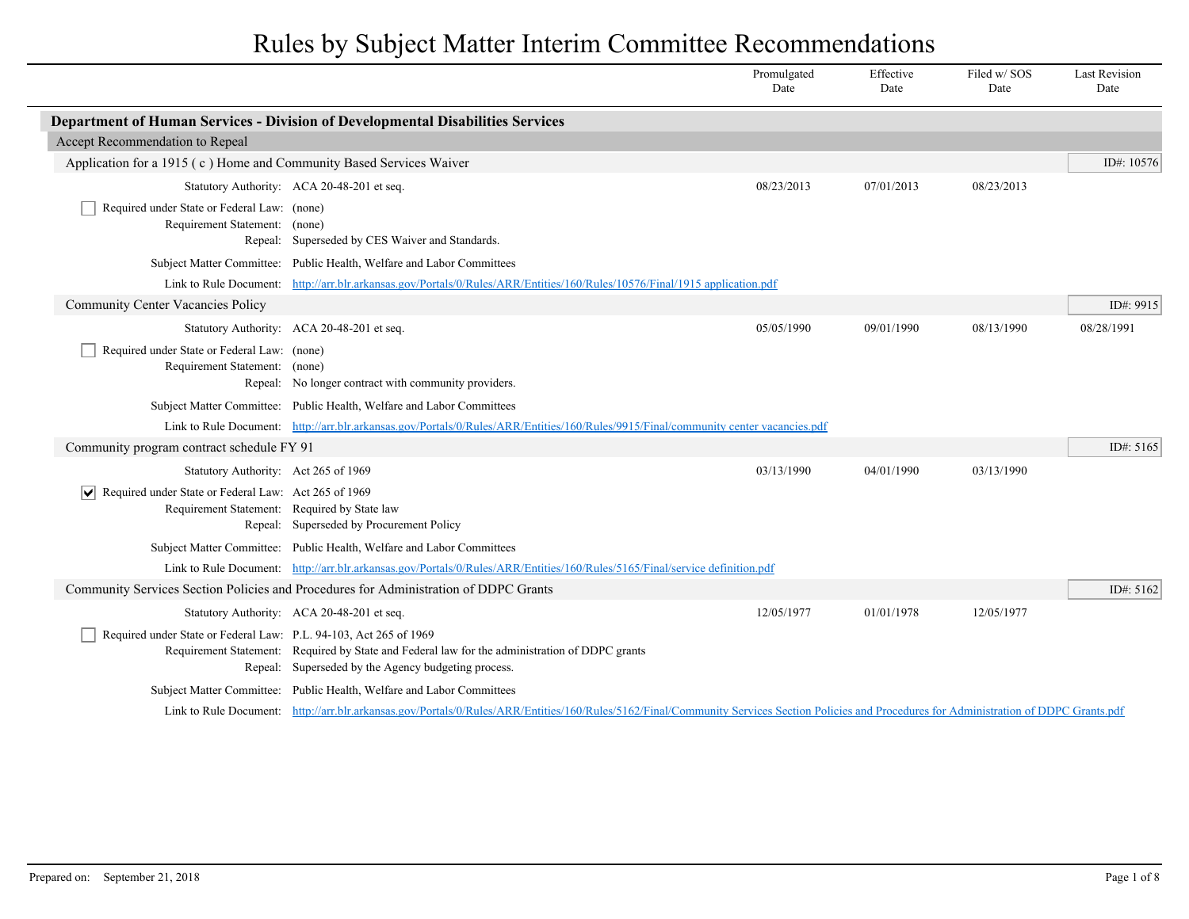|                                                                                                                             |                                                                                                                                                                                               | Promulgated<br>Date | Effective<br>Date | Filed w/ SOS<br>Date | <b>Last Revision</b><br>Date |
|-----------------------------------------------------------------------------------------------------------------------------|-----------------------------------------------------------------------------------------------------------------------------------------------------------------------------------------------|---------------------|-------------------|----------------------|------------------------------|
|                                                                                                                             | Department of Human Services - Division of Developmental Disabilities Services                                                                                                                |                     |                   |                      |                              |
| Accept Recommendation to Repeal                                                                                             |                                                                                                                                                                                               |                     |                   |                      |                              |
| Application for a 1915 (c) Home and Community Based Services Waiver                                                         |                                                                                                                                                                                               |                     |                   |                      | ID#: 10576                   |
|                                                                                                                             | Statutory Authority: ACA 20-48-201 et seq.                                                                                                                                                    | 08/23/2013          | 07/01/2013        | 08/23/2013           |                              |
| Required under State or Federal Law: (none)<br>Requirement Statement: (none)                                                | Repeal: Superseded by CES Waiver and Standards.                                                                                                                                               |                     |                   |                      |                              |
|                                                                                                                             | Subject Matter Committee: Public Health, Welfare and Labor Committees                                                                                                                         |                     |                   |                      |                              |
|                                                                                                                             | Link to Rule Document: http://arr.blr.arkansas.gov/Portals/0/Rules/ARR/Entities/160/Rules/10576/Final/1915 application.pdf                                                                    |                     |                   |                      |                              |
| <b>Community Center Vacancies Policy</b>                                                                                    |                                                                                                                                                                                               |                     |                   |                      | ID#: 9915                    |
|                                                                                                                             | Statutory Authority: ACA 20-48-201 et seq.                                                                                                                                                    | 05/05/1990          | 09/01/1990        | 08/13/1990           | 08/28/1991                   |
| Required under State or Federal Law: (none)<br>Requirement Statement: (none)                                                | Repeal: No longer contract with community providers.                                                                                                                                          |                     |                   |                      |                              |
|                                                                                                                             | Subject Matter Committee: Public Health, Welfare and Labor Committees                                                                                                                         |                     |                   |                      |                              |
|                                                                                                                             | Link to Rule Document: http://arr.blr.arkansas.gov/Portals/0/Rules/ARR/Entities/160/Rules/9915/Final/community center vacancies.pdf                                                           |                     |                   |                      |                              |
| Community program contract schedule FY 91                                                                                   |                                                                                                                                                                                               |                     |                   |                      | ID#: 5165                    |
| Statutory Authority: Act 265 of 1969                                                                                        |                                                                                                                                                                                               | 03/13/1990          | 04/01/1990        | 03/13/1990           |                              |
| Required under State or Federal Law: Act 265 of 1969<br>$ \bm{\mathsf{v}} $<br>Requirement Statement: Required by State law | Repeal: Superseded by Procurement Policy                                                                                                                                                      |                     |                   |                      |                              |
|                                                                                                                             | Subject Matter Committee: Public Health, Welfare and Labor Committees                                                                                                                         |                     |                   |                      |                              |
|                                                                                                                             | Link to Rule Document: http://arr.blr.arkansas.gov/Portals/0/Rules/ARR/Entities/160/Rules/5165/Final/service definition.pdf                                                                   |                     |                   |                      |                              |
|                                                                                                                             | Community Services Section Policies and Procedures for Administration of DDPC Grants                                                                                                          |                     |                   |                      | ID#: 5162                    |
|                                                                                                                             | Statutory Authority: ACA 20-48-201 et seq.                                                                                                                                                    | 12/05/1977          | 01/01/1978        | 12/05/1977           |                              |
| Required under State or Federal Law: P.L. 94-103, Act 265 of 1969                                                           | Requirement Statement: Required by State and Federal law for the administration of DDPC grants<br>Repeal: Superseded by the Agency budgeting process.                                         |                     |                   |                      |                              |
|                                                                                                                             | Subject Matter Committee: Public Health, Welfare and Labor Committees                                                                                                                         |                     |                   |                      |                              |
|                                                                                                                             | Link to Rule Document: http://arr.blr.arkansas.gov/Portals/0/Rules/ARR/Entities/160/Rules/5162/Final/Community Services Section Policies and Procedures for Administration of DDPC Grants.pdf |                     |                   |                      |                              |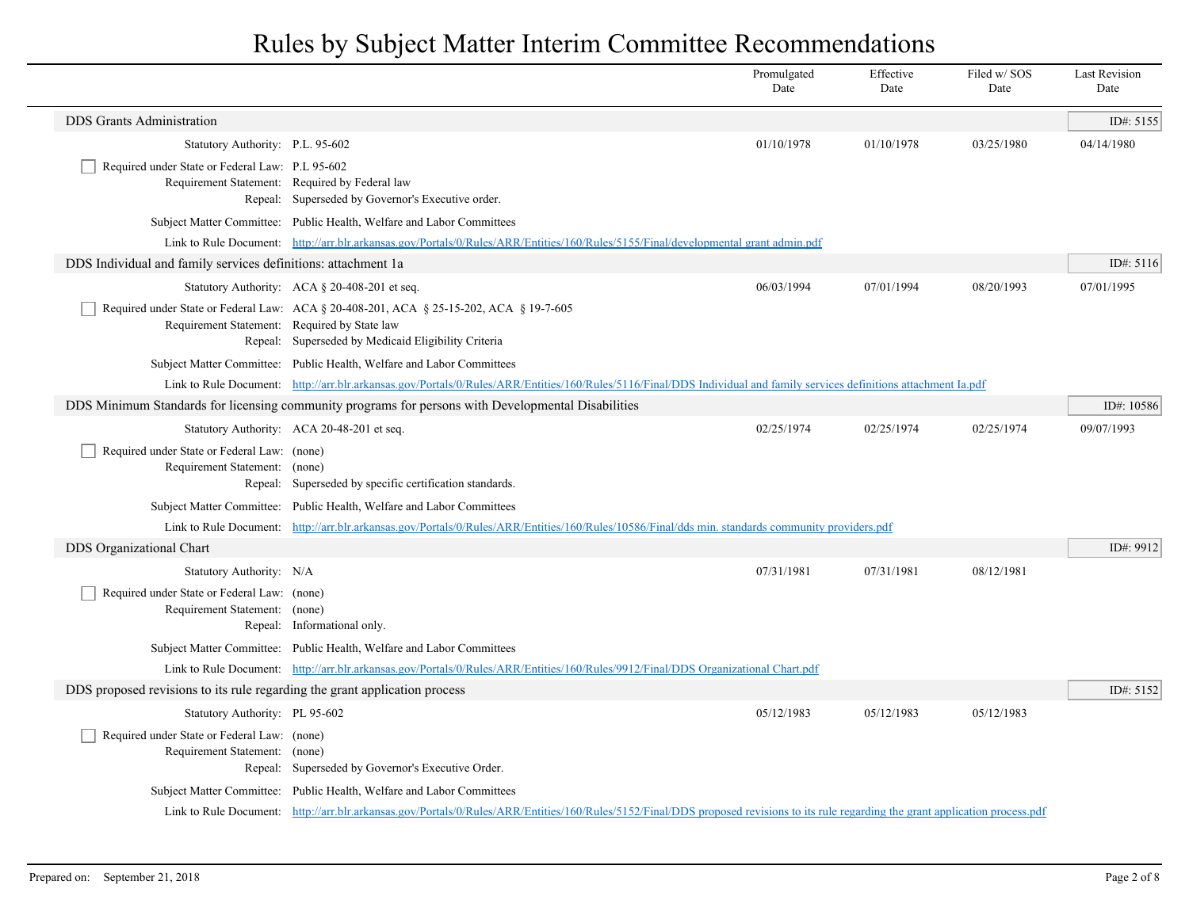|                                                                              |                                                                                                                                                                                               | Promulgated<br>Date | Effective<br>Date | Filed w/SOS<br>Date | <b>Last Revision</b><br>Date |
|------------------------------------------------------------------------------|-----------------------------------------------------------------------------------------------------------------------------------------------------------------------------------------------|---------------------|-------------------|---------------------|------------------------------|
| <b>DDS</b> Grants Administration                                             |                                                                                                                                                                                               |                     |                   |                     | ID#: $5155$                  |
| Statutory Authority: P.L. 95-602                                             |                                                                                                                                                                                               | 01/10/1978          | 01/10/1978        | 03/25/1980          | 04/14/1980                   |
| Required under State or Federal Law: P.L 95-602                              | Requirement Statement: Required by Federal law<br>Repeal: Superseded by Governor's Executive order.                                                                                           |                     |                   |                     |                              |
|                                                                              | Subject Matter Committee: Public Health, Welfare and Labor Committees                                                                                                                         |                     |                   |                     |                              |
|                                                                              | Link to Rule Document: http://arr.blr.arkansas.gov/Portals/0/Rules/ARR/Entities/160/Rules/5155/Final/developmental grant admin.pdf                                                            |                     |                   |                     |                              |
| DDS Individual and family services definitions: attachment 1a.               |                                                                                                                                                                                               |                     |                   |                     | ID#: $5116$                  |
|                                                                              | Statutory Authority: ACA § 20-408-201 et seq.                                                                                                                                                 | 06/03/1994          | 07/01/1994        | 08/20/1993          | 07/01/1995                   |
|                                                                              | Required under State or Federal Law: ACA § 20-408-201, ACA § 25-15-202, ACA § 19-7-605<br>Requirement Statement: Required by State law<br>Repeal: Superseded by Medicaid Eligibility Criteria |                     |                   |                     |                              |
|                                                                              | Subject Matter Committee: Public Health, Welfare and Labor Committees                                                                                                                         |                     |                   |                     |                              |
|                                                                              | Link to Rule Document: http://arr.blr.arkansas.gov/Portals/0/Rules/ARR/Entities/160/Rules/5116/Final/DDS Individual and family services definitions attachment Ia.pdf                         |                     |                   |                     |                              |
|                                                                              | DDS Minimum Standards for licensing community programs for persons with Developmental Disabilities                                                                                            |                     |                   |                     | ID#: 10586                   |
|                                                                              | Statutory Authority: ACA 20-48-201 et seq.                                                                                                                                                    | 02/25/1974          | 02/25/1974        | 02/25/1974          | 09/07/1993                   |
| Required under State or Federal Law: (none)<br>Requirement Statement: (none) | Repeal: Superseded by specific certification standards.                                                                                                                                       |                     |                   |                     |                              |
|                                                                              | Subject Matter Committee: Public Health, Welfare and Labor Committees                                                                                                                         |                     |                   |                     |                              |
|                                                                              | Link to Rule Document: http://arr.blr.arkansas.gov/Portals/0/Rules/ARR/Entities/160/Rules/10586/Final/dds min. standards community providers.pdf                                              |                     |                   |                     |                              |
| DDS Organizational Chart                                                     |                                                                                                                                                                                               |                     |                   |                     | ID#: 9912                    |
| Statutory Authority: N/A                                                     |                                                                                                                                                                                               | 07/31/1981          | 07/31/1981        | 08/12/1981          |                              |
| Required under State or Federal Law: (none)<br>Requirement Statement: (none) | Repeal: Informational only.                                                                                                                                                                   |                     |                   |                     |                              |
|                                                                              | Subject Matter Committee: Public Health, Welfare and Labor Committees                                                                                                                         |                     |                   |                     |                              |
|                                                                              | Link to Rule Document: http://arr.blr.arkansas.gov/Portals/0/Rules/ARR/Entities/160/Rules/9912/Final/DDS Organizational Chart.pdf                                                             |                     |                   |                     |                              |
| DDS proposed revisions to its rule regarding the grant application process   |                                                                                                                                                                                               |                     |                   |                     | ID#: 5152                    |
| Statutory Authority: PL 95-602                                               |                                                                                                                                                                                               | 05/12/1983          | 05/12/1983        | 05/12/1983          |                              |
| Required under State or Federal Law: (none)<br>Requirement Statement: (none) | Repeal: Superseded by Governor's Executive Order.                                                                                                                                             |                     |                   |                     |                              |
|                                                                              | Subject Matter Committee: Public Health, Welfare and Labor Committees                                                                                                                         |                     |                   |                     |                              |
|                                                                              | Link to Rule Document: http://arr.blr.arkansas.gov/Portals/0/Rules/ARR/Entities/160/Rules/5152/Final/DDS proposed revisions to its rule regarding the grant application process.pdf           |                     |                   |                     |                              |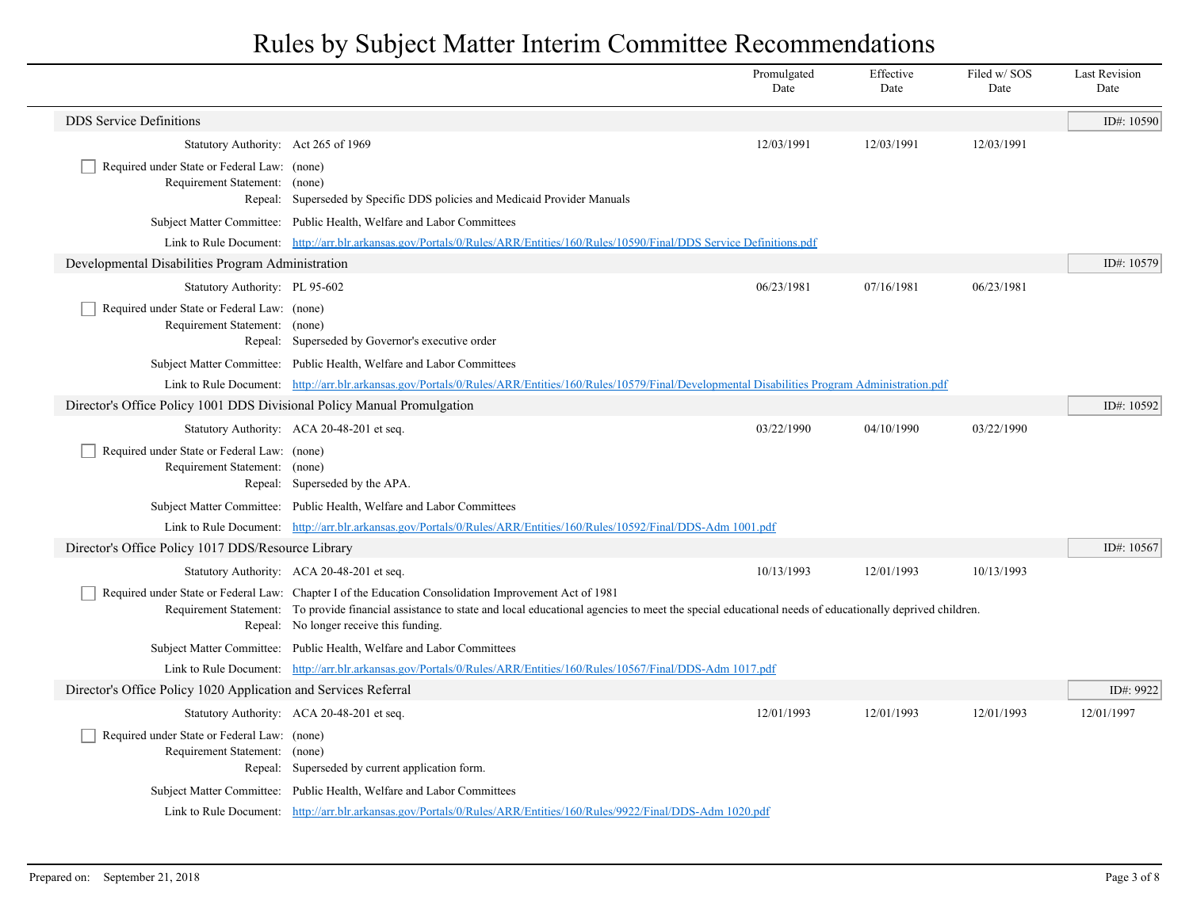|                                                                              |                                                                                                                                                                                                                                                                                                                              | Promulgated<br>Date | Effective<br>Date | Filed w/SOS<br>Date | <b>Last Revision</b><br>Date |
|------------------------------------------------------------------------------|------------------------------------------------------------------------------------------------------------------------------------------------------------------------------------------------------------------------------------------------------------------------------------------------------------------------------|---------------------|-------------------|---------------------|------------------------------|
| <b>DDS</b> Service Definitions                                               |                                                                                                                                                                                                                                                                                                                              |                     |                   |                     | ID#: 10590                   |
| Statutory Authority: Act 265 of 1969                                         |                                                                                                                                                                                                                                                                                                                              | 12/03/1991          | 12/03/1991        | 12/03/1991          |                              |
| Required under State or Federal Law: (none)<br>Requirement Statement: (none) | Repeal: Superseded by Specific DDS policies and Medicaid Provider Manuals                                                                                                                                                                                                                                                    |                     |                   |                     |                              |
|                                                                              | Subject Matter Committee: Public Health, Welfare and Labor Committees                                                                                                                                                                                                                                                        |                     |                   |                     |                              |
|                                                                              | Link to Rule Document: http://arr.blr.arkansas.gov/Portals/0/Rules/ARR/Entities/160/Rules/10590/Final/DDS Service Definitions.pdf                                                                                                                                                                                            |                     |                   |                     |                              |
| Developmental Disabilities Program Administration                            |                                                                                                                                                                                                                                                                                                                              |                     |                   |                     | ID#: 10579                   |
| Statutory Authority: PL 95-602                                               |                                                                                                                                                                                                                                                                                                                              | 06/23/1981          | 07/16/1981        | 06/23/1981          |                              |
| Required under State or Federal Law: (none)<br>Requirement Statement: (none) | Repeal: Superseded by Governor's executive order                                                                                                                                                                                                                                                                             |                     |                   |                     |                              |
|                                                                              | Subject Matter Committee: Public Health, Welfare and Labor Committees                                                                                                                                                                                                                                                        |                     |                   |                     |                              |
|                                                                              | Link to Rule Document: http://arr.blr.arkansas.gov/Portals/0/Rules/ARR/Entities/160/Rules/10579/Final/Developmental Disabilities Program Administration.pdf                                                                                                                                                                  |                     |                   |                     |                              |
| Director's Office Policy 1001 DDS Divisional Policy Manual Promulgation      |                                                                                                                                                                                                                                                                                                                              |                     |                   |                     | ID#: 10592                   |
|                                                                              | Statutory Authority: ACA 20-48-201 et seq.                                                                                                                                                                                                                                                                                   | 03/22/1990          | 04/10/1990        | 03/22/1990          |                              |
| Required under State or Federal Law: (none)<br>Requirement Statement: (none) | Repeal: Superseded by the APA.                                                                                                                                                                                                                                                                                               |                     |                   |                     |                              |
|                                                                              | Subject Matter Committee: Public Health, Welfare and Labor Committees                                                                                                                                                                                                                                                        |                     |                   |                     |                              |
|                                                                              | Link to Rule Document: http://arr.blr.arkansas.gov/Portals/0/Rules/ARR/Entities/160/Rules/10592/Final/DDS-Adm 1001.pdf                                                                                                                                                                                                       |                     |                   |                     |                              |
| Director's Office Policy 1017 DDS/Resource Library                           |                                                                                                                                                                                                                                                                                                                              |                     |                   |                     | ID#: $10567$                 |
|                                                                              | Statutory Authority: ACA 20-48-201 et seq.                                                                                                                                                                                                                                                                                   | 10/13/1993          | 12/01/1993        | 10/13/1993          |                              |
|                                                                              | Required under State or Federal Law: Chapter I of the Education Consolidation Improvement Act of 1981<br>Requirement Statement: To provide financial assistance to state and local educational agencies to meet the special educational needs of educationally deprived children.<br>Repeal: No longer receive this funding. |                     |                   |                     |                              |
|                                                                              | Subject Matter Committee: Public Health, Welfare and Labor Committees                                                                                                                                                                                                                                                        |                     |                   |                     |                              |
|                                                                              | Link to Rule Document: http://arr.blr.arkansas.gov/Portals/0/Rules/ARR/Entities/160/Rules/10567/Final/DDS-Adm 1017.pdf                                                                                                                                                                                                       |                     |                   |                     |                              |
| Director's Office Policy 1020 Application and Services Referral              |                                                                                                                                                                                                                                                                                                                              |                     |                   |                     | ID#: 9922                    |
|                                                                              | Statutory Authority: ACA 20-48-201 et seq.                                                                                                                                                                                                                                                                                   | 12/01/1993          | 12/01/1993        | 12/01/1993          | 12/01/1997                   |
| Required under State or Federal Law: (none)<br>Requirement Statement: (none) | Repeal: Superseded by current application form.                                                                                                                                                                                                                                                                              |                     |                   |                     |                              |
|                                                                              | Subject Matter Committee: Public Health, Welfare and Labor Committees                                                                                                                                                                                                                                                        |                     |                   |                     |                              |
|                                                                              | Link to Rule Document: http://arr.blr.arkansas.gov/Portals/0/Rules/ARR/Entities/160/Rules/9922/Final/DDS-Adm 1020.pdf                                                                                                                                                                                                        |                     |                   |                     |                              |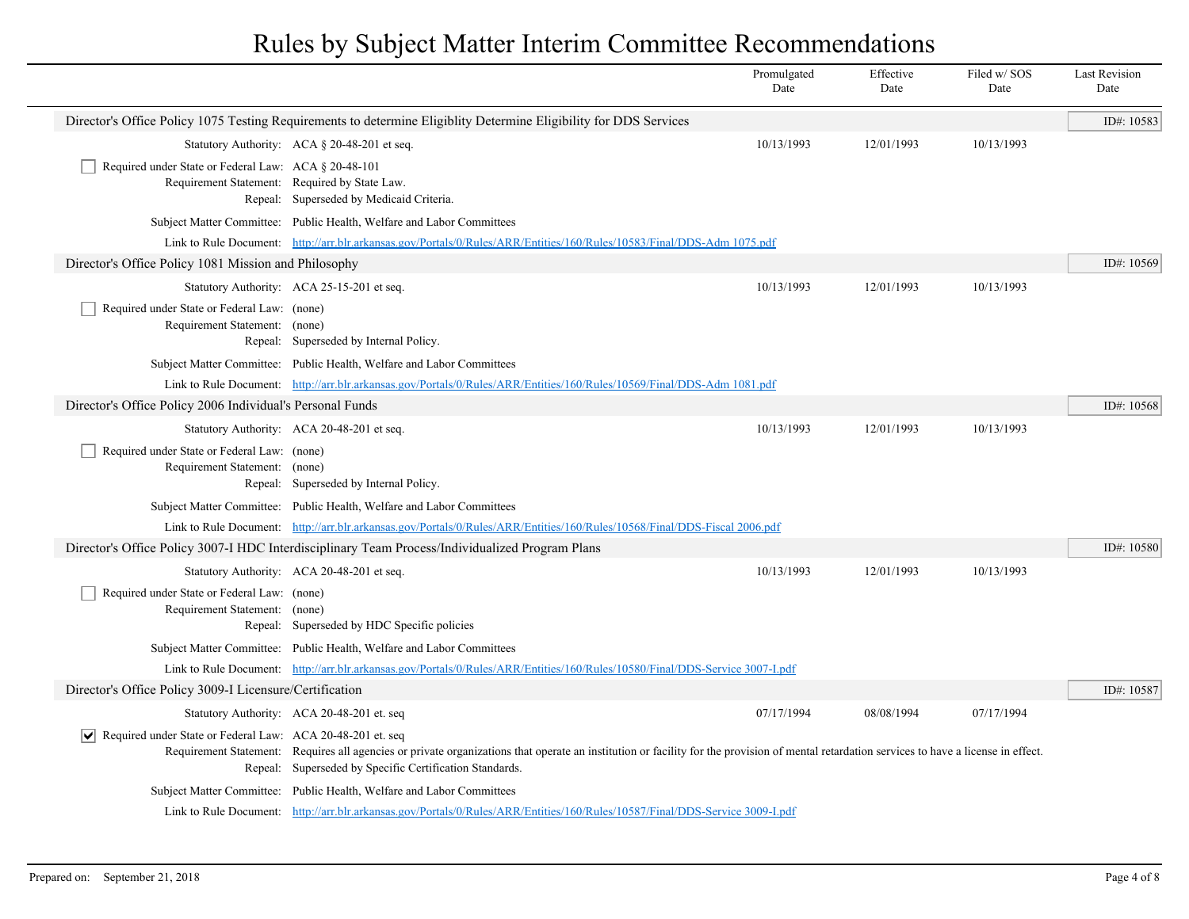|                                                                              |                                                                                                                                                                                                                                                        | Promulgated<br>Date | Effective<br>Date | Filed w/SOS<br>Date | <b>Last Revision</b><br>Date |
|------------------------------------------------------------------------------|--------------------------------------------------------------------------------------------------------------------------------------------------------------------------------------------------------------------------------------------------------|---------------------|-------------------|---------------------|------------------------------|
|                                                                              | Director's Office Policy 1075 Testing Requirements to determine Eligiblity Determine Eligibility for DDS Services                                                                                                                                      |                     |                   |                     | ID#: 10583                   |
|                                                                              | Statutory Authority: ACA § 20-48-201 et seq.                                                                                                                                                                                                           | 10/13/1993          | 12/01/1993        | 10/13/1993          |                              |
| Required under State or Federal Law: ACA § 20-48-101                         | Requirement Statement: Required by State Law.<br>Repeal: Superseded by Medicaid Criteria.                                                                                                                                                              |                     |                   |                     |                              |
|                                                                              | Subject Matter Committee: Public Health, Welfare and Labor Committees                                                                                                                                                                                  |                     |                   |                     |                              |
|                                                                              | Link to Rule Document: http://arr.blr.arkansas.gov/Portals/0/Rules/ARR/Entities/160/Rules/10583/Final/DDS-Adm 1075.pdf                                                                                                                                 |                     |                   |                     |                              |
| Director's Office Policy 1081 Mission and Philosophy                         |                                                                                                                                                                                                                                                        |                     |                   |                     | ID#: 10569                   |
|                                                                              | Statutory Authority: ACA 25-15-201 et seq.                                                                                                                                                                                                             | 10/13/1993          | 12/01/1993        | 10/13/1993          |                              |
| Required under State or Federal Law: (none)<br>Requirement Statement: (none) | Repeal: Superseded by Internal Policy.                                                                                                                                                                                                                 |                     |                   |                     |                              |
|                                                                              | Subject Matter Committee: Public Health, Welfare and Labor Committees                                                                                                                                                                                  |                     |                   |                     |                              |
|                                                                              | Link to Rule Document: http://arr.blr.arkansas.gov/Portals/0/Rules/ARR/Entities/160/Rules/10569/Final/DDS-Adm 1081.pdf                                                                                                                                 |                     |                   |                     |                              |
| Director's Office Policy 2006 Individual's Personal Funds                    |                                                                                                                                                                                                                                                        |                     |                   |                     | ID#: 10568                   |
|                                                                              | Statutory Authority: ACA 20-48-201 et seq.                                                                                                                                                                                                             | 10/13/1993          | 12/01/1993        | 10/13/1993          |                              |
| Required under State or Federal Law: (none)<br>Requirement Statement: (none) | Repeal: Superseded by Internal Policy.                                                                                                                                                                                                                 |                     |                   |                     |                              |
|                                                                              | Subject Matter Committee: Public Health, Welfare and Labor Committees                                                                                                                                                                                  |                     |                   |                     |                              |
|                                                                              | Link to Rule Document: http://arr.blr.arkansas.gov/Portals/0/Rules/ARR/Entities/160/Rules/10568/Final/DDS-Fiscal 2006.pdf                                                                                                                              |                     |                   |                     |                              |
|                                                                              | Director's Office Policy 3007-I HDC Interdisciplinary Team Process/Individualized Program Plans                                                                                                                                                        |                     |                   |                     | ID#: 10580                   |
|                                                                              | Statutory Authority: ACA 20-48-201 et seq.                                                                                                                                                                                                             | 10/13/1993          | 12/01/1993        | 10/13/1993          |                              |
| Required under State or Federal Law: (none)<br>Requirement Statement: (none) | Repeal: Superseded by HDC Specific policies                                                                                                                                                                                                            |                     |                   |                     |                              |
|                                                                              | Subject Matter Committee: Public Health, Welfare and Labor Committees                                                                                                                                                                                  |                     |                   |                     |                              |
|                                                                              | Link to Rule Document: http://arr.blr.arkansas.gov/Portals/0/Rules/ARR/Entities/160/Rules/10580/Final/DDS-Service 3007-Lpdf                                                                                                                            |                     |                   |                     |                              |
| Director's Office Policy 3009-I Licensure/Certification                      |                                                                                                                                                                                                                                                        |                     |                   |                     | ID#: 10587                   |
|                                                                              | Statutory Authority: ACA 20-48-201 et. seq                                                                                                                                                                                                             | 07/17/1994          | 08/08/1994        | 07/17/1994          |                              |
| Required under State or Federal Law: ACA 20-48-201 et. seq                   | Requirement Statement: Requires all agencies or private organizations that operate an institution or facility for the provision of mental retardation services to have a license in effect.<br>Repeal: Superseded by Specific Certification Standards. |                     |                   |                     |                              |
|                                                                              | Subject Matter Committee: Public Health, Welfare and Labor Committees                                                                                                                                                                                  |                     |                   |                     |                              |
|                                                                              | Link to Rule Document: http://arr.blr.arkansas.gov/Portals/0/Rules/ARR/Entities/160/Rules/10587/Final/DDS-Service 3009-I.pdf                                                                                                                           |                     |                   |                     |                              |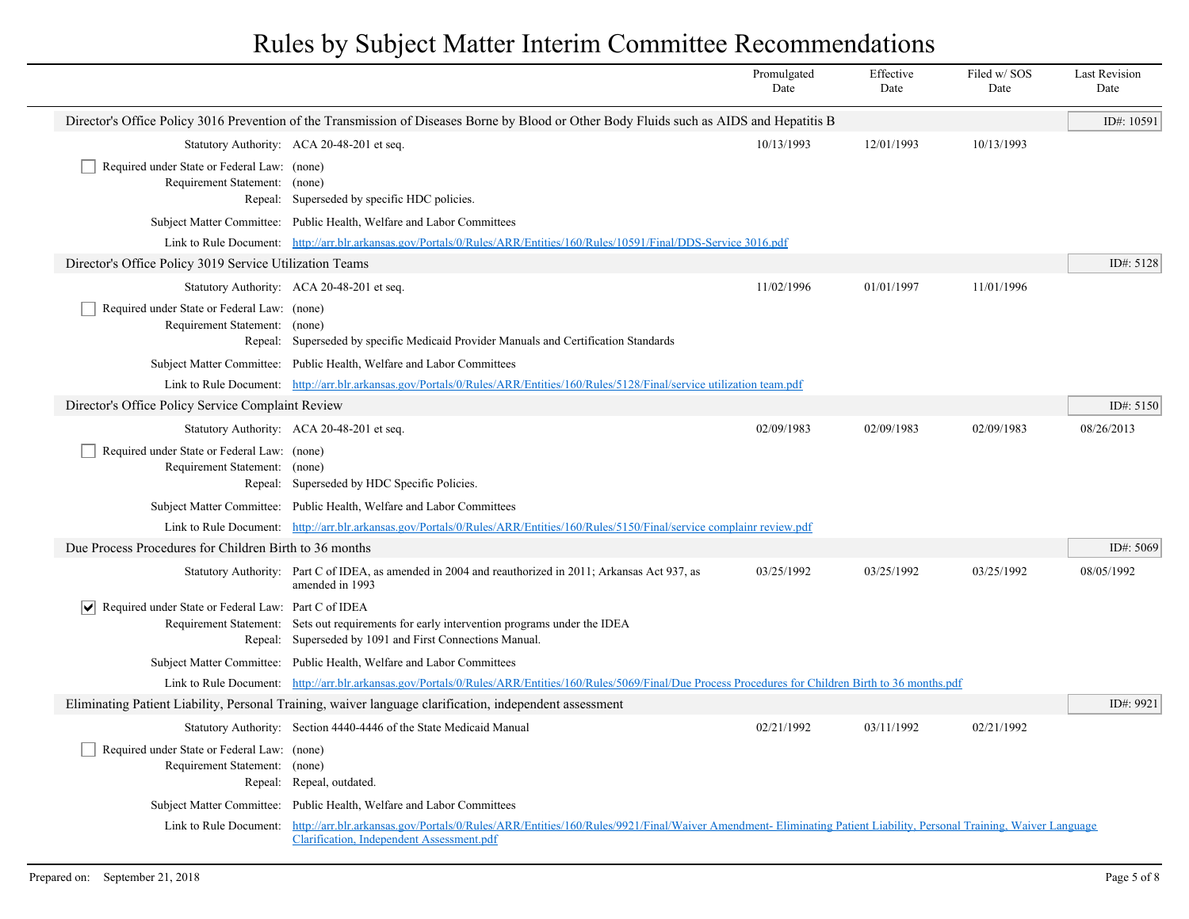|                                                                                                                                           |                                                                                                                                                                                                               | Promulgated<br>Date | Effective<br>Date | Filed w/SOS<br>Date | <b>Last Revision</b><br>Date |
|-------------------------------------------------------------------------------------------------------------------------------------------|---------------------------------------------------------------------------------------------------------------------------------------------------------------------------------------------------------------|---------------------|-------------------|---------------------|------------------------------|
| Director's Office Policy 3016 Prevention of the Transmission of Diseases Borne by Blood or Other Body Fluids such as AIDS and Hepatitis B |                                                                                                                                                                                                               |                     |                   |                     |                              |
|                                                                                                                                           | Statutory Authority: ACA 20-48-201 et seq.                                                                                                                                                                    | 10/13/1993          | 12/01/1993        | 10/13/1993          |                              |
| Required under State or Federal Law: (none)<br>Requirement Statement: (none)                                                              | Repeal: Superseded by specific HDC policies.                                                                                                                                                                  |                     |                   |                     |                              |
|                                                                                                                                           | Subject Matter Committee: Public Health, Welfare and Labor Committees                                                                                                                                         |                     |                   |                     |                              |
|                                                                                                                                           | Link to Rule Document: http://arr.blr.arkansas.gov/Portals/0/Rules/ARR/Entities/160/Rules/10591/Final/DDS-Service 3016.pdf                                                                                    |                     |                   |                     |                              |
| Director's Office Policy 3019 Service Utilization Teams                                                                                   |                                                                                                                                                                                                               |                     |                   |                     | ID#: 5128                    |
|                                                                                                                                           | Statutory Authority: ACA 20-48-201 et seq.                                                                                                                                                                    | 11/02/1996          | 01/01/1997        | 11/01/1996          |                              |
| Required under State or Federal Law: (none)<br>Requirement Statement: (none)                                                              | Repeal: Superseded by specific Medicaid Provider Manuals and Certification Standards                                                                                                                          |                     |                   |                     |                              |
|                                                                                                                                           | Subject Matter Committee: Public Health, Welfare and Labor Committees                                                                                                                                         |                     |                   |                     |                              |
|                                                                                                                                           | Link to Rule Document: http://arr.blr.arkansas.gov/Portals/0/Rules/ARR/Entities/160/Rules/5128/Final/service utilization team.pdf                                                                             |                     |                   |                     |                              |
| Director's Office Policy Service Complaint Review                                                                                         |                                                                                                                                                                                                               |                     |                   |                     | ID#: 5150                    |
|                                                                                                                                           | Statutory Authority: ACA 20-48-201 et seq.                                                                                                                                                                    | 02/09/1983          | 02/09/1983        | 02/09/1983          | 08/26/2013                   |
| Required under State or Federal Law: (none)<br>Requirement Statement: (none)                                                              | Repeal: Superseded by HDC Specific Policies.                                                                                                                                                                  |                     |                   |                     |                              |
|                                                                                                                                           | Subject Matter Committee: Public Health, Welfare and Labor Committees                                                                                                                                         |                     |                   |                     |                              |
|                                                                                                                                           | Link to Rule Document: http://arr.blr.arkansas.gov/Portals/0/Rules/ARR/Entities/160/Rules/5150/Final/service complainr review.pdf                                                                             |                     |                   |                     |                              |
| Due Process Procedures for Children Birth to 36 months                                                                                    |                                                                                                                                                                                                               |                     |                   |                     | ID#: $5069$                  |
|                                                                                                                                           | Statutory Authority: Part C of IDEA, as amended in 2004 and reauthorized in 2011; Arkansas Act 937, as<br>amended in 1993                                                                                     | 03/25/1992          | 03/25/1992        | 03/25/1992          | 08/05/1992                   |
| $ \mathbf{v} $ Required under State or Federal Law: Part C of IDEA                                                                        | Requirement Statement: Sets out requirements for early intervention programs under the IDEA<br>Repeal: Superseded by 1091 and First Connections Manual.                                                       |                     |                   |                     |                              |
|                                                                                                                                           | Subject Matter Committee: Public Health, Welfare and Labor Committees                                                                                                                                         |                     |                   |                     |                              |
|                                                                                                                                           | Link to Rule Document: http://arr.blr.arkansas.gov/Portals/0/Rules/ARR/Entities/160/Rules/5069/Final/Due Process Procedures for Children Birth to 36 months.pdf                                               |                     |                   |                     |                              |
|                                                                                                                                           | Eliminating Patient Liability, Personal Training, waiver language clarification, independent assessment                                                                                                       |                     |                   |                     | ID#: 9921                    |
|                                                                                                                                           | Statutory Authority: Section 4440-4446 of the State Medicaid Manual                                                                                                                                           | 02/21/1992          | 03/11/1992        | 02/21/1992          |                              |
| Required under State or Federal Law: (none)<br>Requirement Statement:                                                                     | (none)<br>Repeal: Repeal, outdated.                                                                                                                                                                           |                     |                   |                     |                              |
|                                                                                                                                           | Subject Matter Committee: Public Health, Welfare and Labor Committees                                                                                                                                         |                     |                   |                     |                              |
| Link to Rule Document:                                                                                                                    | http://arr.blr.arkansas.gov/Portals/0/Rules/ARR/Entities/160/Rules/9921/Final/Waiver Amendment-Eliminating Patient Liability, Personal Training, Waiver Language<br>Clarification, Independent Assessment.pdf |                     |                   |                     |                              |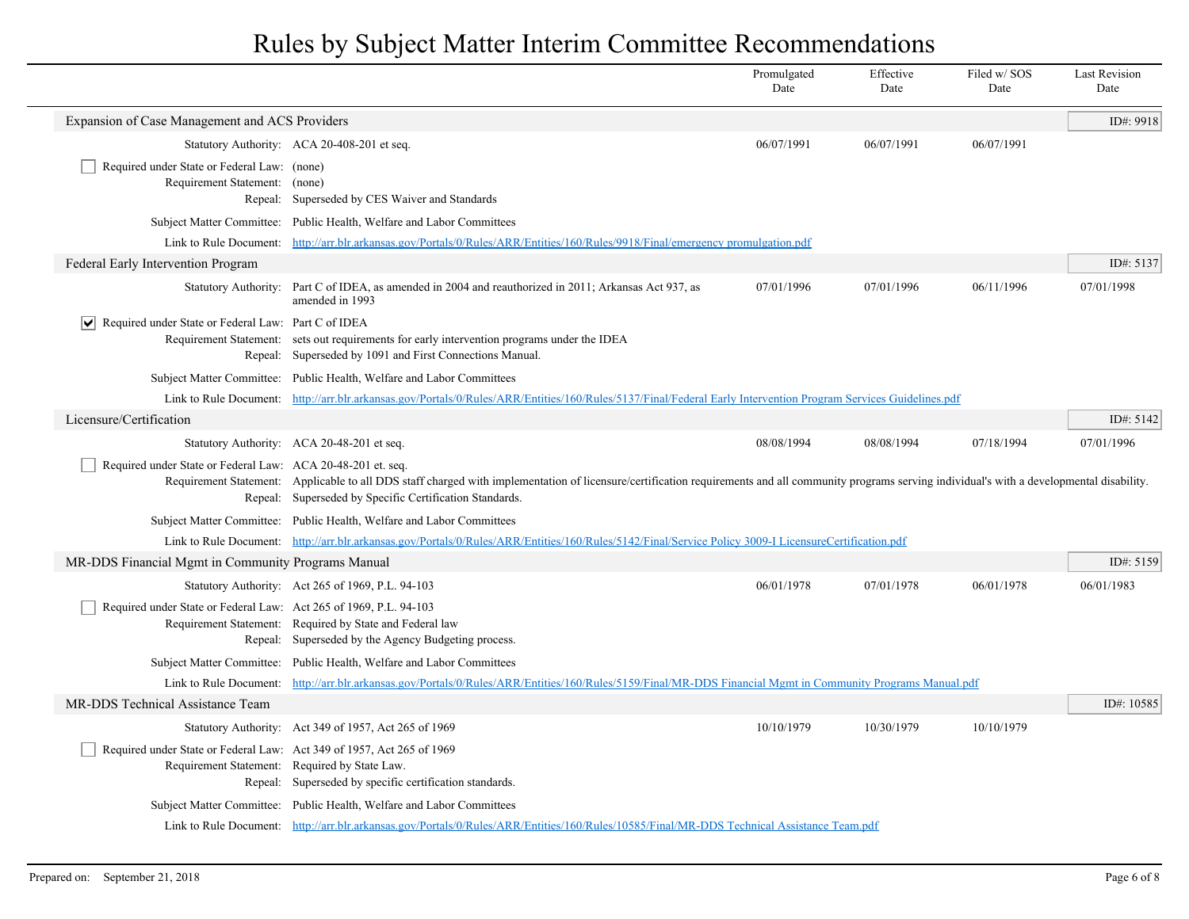|                                                                                                                        |                                                                                                                                                                                                                                                                    | Promulgated<br>Date | Effective<br>Date | Filed w/SOS<br>Date | <b>Last Revision</b><br>Date |
|------------------------------------------------------------------------------------------------------------------------|--------------------------------------------------------------------------------------------------------------------------------------------------------------------------------------------------------------------------------------------------------------------|---------------------|-------------------|---------------------|------------------------------|
| Expansion of Case Management and ACS Providers                                                                         |                                                                                                                                                                                                                                                                    |                     |                   |                     | ID#: 9918                    |
|                                                                                                                        | Statutory Authority: ACA 20-408-201 et seq.                                                                                                                                                                                                                        | 06/07/1991          | 06/07/1991        | 06/07/1991          |                              |
| Required under State or Federal Law: (none)<br>Requirement Statement: (none)                                           | Repeal: Superseded by CES Waiver and Standards                                                                                                                                                                                                                     |                     |                   |                     |                              |
|                                                                                                                        | Subject Matter Committee: Public Health, Welfare and Labor Committees                                                                                                                                                                                              |                     |                   |                     |                              |
|                                                                                                                        | Link to Rule Document: http://arr.blr.arkansas.gov/Portals/0/Rules/ARR/Entities/160/Rules/9918/Final/emergency promulgation.pdf                                                                                                                                    |                     |                   |                     |                              |
| Federal Early Intervention Program                                                                                     |                                                                                                                                                                                                                                                                    |                     |                   |                     | ID#: 5137                    |
|                                                                                                                        | Statutory Authority: Part C of IDEA, as amended in 2004 and reauthorized in 2011; Arkansas Act 937, as<br>amended in 1993                                                                                                                                          | 07/01/1996          | 07/01/1996        | 06/11/1996          | 07/01/1998                   |
| Required under State or Federal Law: Part C of IDEA<br>$ \bm{\mathsf{v}} $                                             | Requirement Statement: sets out requirements for early intervention programs under the IDEA<br>Repeal: Superseded by 1091 and First Connections Manual.                                                                                                            |                     |                   |                     |                              |
|                                                                                                                        | Subject Matter Committee: Public Health, Welfare and Labor Committees                                                                                                                                                                                              |                     |                   |                     |                              |
|                                                                                                                        | Link to Rule Document: http://arr.blr.arkansas.gov/Portals/0/Rules/ARR/Entities/160/Rules/5137/Final/Federal Early Intervention Program Services Guidelines.pdf                                                                                                    |                     |                   |                     |                              |
| Licensure/Certification                                                                                                |                                                                                                                                                                                                                                                                    |                     |                   |                     | ID#: 5142                    |
|                                                                                                                        | Statutory Authority: ACA 20-48-201 et seq.                                                                                                                                                                                                                         | 08/08/1994          | 08/08/1994        | 07/18/1994          | 07/01/1996                   |
| Required under State or Federal Law: ACA 20-48-201 et. seq.                                                            | Requirement Statement: Applicable to all DDS staff charged with implementation of licensure/certification requirements and all community programs serving individual's with a developmental disability.<br>Repeal: Superseded by Specific Certification Standards. |                     |                   |                     |                              |
|                                                                                                                        | Subject Matter Committee: Public Health, Welfare and Labor Committees                                                                                                                                                                                              |                     |                   |                     |                              |
|                                                                                                                        | Link to Rule Document: http://arr.blr.arkansas.gov/Portals/0/Rules/ARR/Entities/160/Rules/5142/Final/Service Policy 3009-I LicensureCertification.pdf                                                                                                              |                     |                   |                     |                              |
| MR-DDS Financial Mgmt in Community Programs Manual                                                                     |                                                                                                                                                                                                                                                                    |                     |                   |                     | ID#: 5159                    |
|                                                                                                                        | Statutory Authority: Act 265 of 1969, P.L. 94-103                                                                                                                                                                                                                  | 06/01/1978          | 07/01/1978        | 06/01/1978          | 06/01/1983                   |
| Required under State or Federal Law: Act 265 of 1969, P.L. 94-103                                                      | Requirement Statement: Required by State and Federal law<br>Repeal: Superseded by the Agency Budgeting process.                                                                                                                                                    |                     |                   |                     |                              |
|                                                                                                                        | Subject Matter Committee: Public Health, Welfare and Labor Committees                                                                                                                                                                                              |                     |                   |                     |                              |
| Link to Rule Document:                                                                                                 | http://arr.blr.arkansas.gov/Portals/0/Rules/ARR/Entities/160/Rules/5159/Final/MR-DDS Financial Mgmt in Community Programs Manual.pdf                                                                                                                               |                     |                   |                     |                              |
| MR-DDS Technical Assistance Team                                                                                       |                                                                                                                                                                                                                                                                    |                     |                   |                     | ID#: 10585                   |
|                                                                                                                        | Statutory Authority: Act 349 of 1957, Act 265 of 1969                                                                                                                                                                                                              | 10/10/1979          | 10/30/1979        | 10/10/1979          |                              |
| Required under State or Federal Law: Act 349 of 1957, Act 265 of 1969<br>Requirement Statement: Required by State Law. | Repeal: Superseded by specific certification standards.                                                                                                                                                                                                            |                     |                   |                     |                              |
|                                                                                                                        | Subject Matter Committee: Public Health, Welfare and Labor Committees                                                                                                                                                                                              |                     |                   |                     |                              |
|                                                                                                                        | Link to Rule Document: http://arr.blr.arkansas.gov/Portals/0/Rules/ARR/Entities/160/Rules/10585/Final/MR-DDS Technical Assistance Team.pdf                                                                                                                         |                     |                   |                     |                              |
|                                                                                                                        |                                                                                                                                                                                                                                                                    |                     |                   |                     |                              |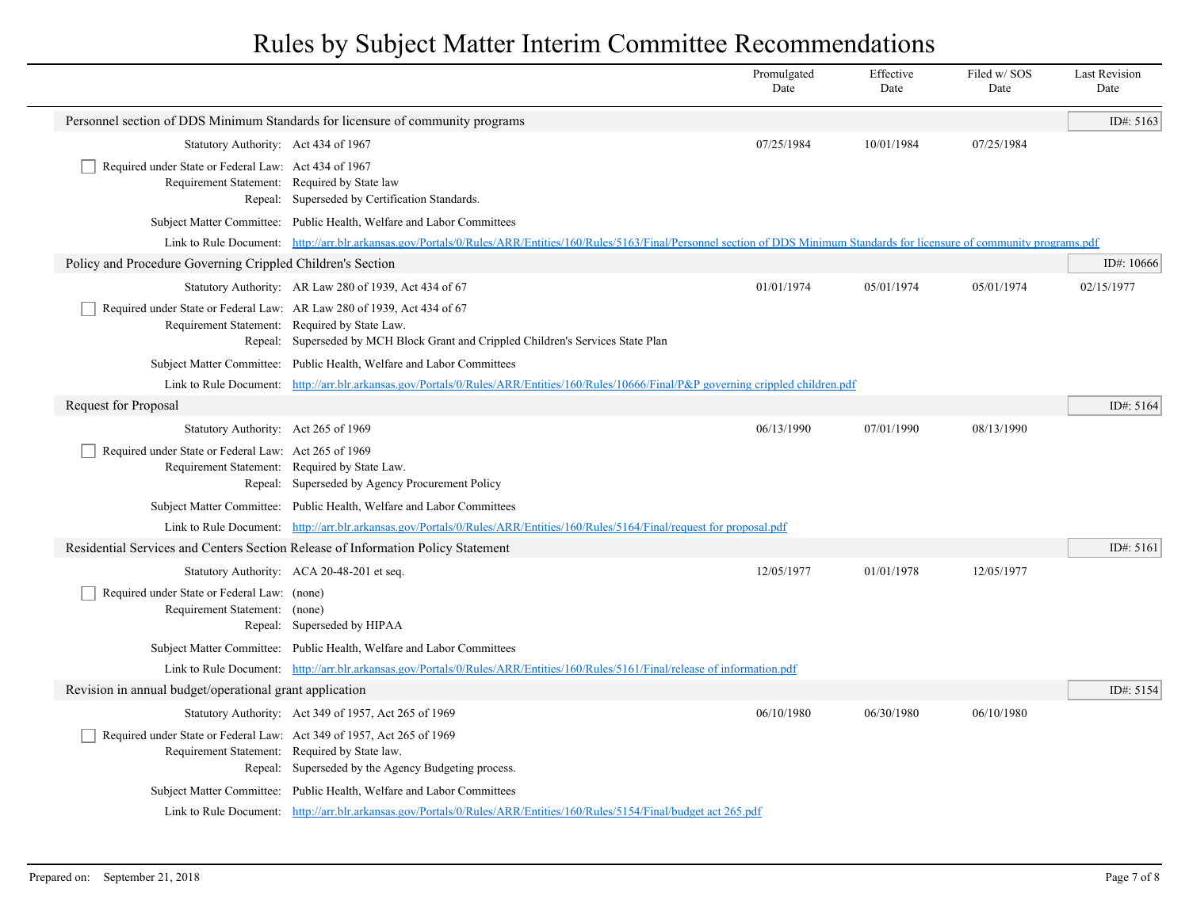|                                                                                                                         |                                                                                                                                                                                         | Promulgated<br>Date | Effective<br>Date | Filed w/SOS<br>Date | <b>Last Revision</b><br>Date |
|-------------------------------------------------------------------------------------------------------------------------|-----------------------------------------------------------------------------------------------------------------------------------------------------------------------------------------|---------------------|-------------------|---------------------|------------------------------|
|                                                                                                                         | Personnel section of DDS Minimum Standards for licensure of community programs                                                                                                          |                     |                   |                     | ID#: 5163                    |
| Statutory Authority: Act 434 of 1967                                                                                    |                                                                                                                                                                                         | 07/25/1984          | 10/01/1984        | 07/25/1984          |                              |
| Required under State or Federal Law: Act 434 of 1967<br>Requirement Statement: Required by State law                    | Repeal: Superseded by Certification Standards.                                                                                                                                          |                     |                   |                     |                              |
|                                                                                                                         | Subject Matter Committee: Public Health, Welfare and Labor Committees                                                                                                                   |                     |                   |                     |                              |
|                                                                                                                         | Link to Rule Document: http://arr.blr.arkansas.gov/Portals/0/Rules/ARR/Entities/160/Rules/5163/Final/Personnel section of DDS Minimum Standards for licensure of community programs.pdf |                     |                   |                     |                              |
| Policy and Procedure Governing Crippled Children's Section                                                              |                                                                                                                                                                                         |                     |                   |                     | ID#: $10666$                 |
|                                                                                                                         | Statutory Authority: AR Law 280 of 1939, Act 434 of 67                                                                                                                                  | 01/01/1974          | 05/01/1974        | 05/01/1974          | 02/15/1977                   |
| Required under State or Federal Law: AR Law 280 of 1939, Act 434 of 67<br>Requirement Statement: Required by State Law. | Repeal: Superseded by MCH Block Grant and Crippled Children's Services State Plan                                                                                                       |                     |                   |                     |                              |
|                                                                                                                         | Subject Matter Committee: Public Health, Welfare and Labor Committees                                                                                                                   |                     |                   |                     |                              |
|                                                                                                                         | Link to Rule Document: http://arr.blr.arkansas.gov/Portals/0/Rules/ARR/Entities/160/Rules/10666/Final/P&P governing crippled children.pdf                                               |                     |                   |                     |                              |
| Request for Proposal                                                                                                    |                                                                                                                                                                                         |                     |                   |                     | ID#: 5164                    |
| Statutory Authority: Act 265 of 1969                                                                                    |                                                                                                                                                                                         | 06/13/1990          | 07/01/1990        | 08/13/1990          |                              |
| Required under State or Federal Law: Act 265 of 1969<br>Requirement Statement: Required by State Law.                   | Repeal: Superseded by Agency Procurement Policy                                                                                                                                         |                     |                   |                     |                              |
|                                                                                                                         | Subject Matter Committee: Public Health, Welfare and Labor Committees                                                                                                                   |                     |                   |                     |                              |
|                                                                                                                         | Link to Rule Document: http://arr.blr.arkansas.gov/Portals/0/Rules/ARR/Entities/160/Rules/5164/Final/request for proposal.pdf                                                           |                     |                   |                     |                              |
|                                                                                                                         | Residential Services and Centers Section Release of Information Policy Statement                                                                                                        |                     |                   |                     | ID#: $5161$                  |
|                                                                                                                         | Statutory Authority: ACA 20-48-201 et seq.                                                                                                                                              | 12/05/1977          | 01/01/1978        | 12/05/1977          |                              |
| Required under State or Federal Law: (none)<br>Requirement Statement: (none)                                            | Repeal: Superseded by HIPAA                                                                                                                                                             |                     |                   |                     |                              |
|                                                                                                                         | Subject Matter Committee: Public Health, Welfare and Labor Committees                                                                                                                   |                     |                   |                     |                              |
|                                                                                                                         | Link to Rule Document: http://arr.blr.arkansas.gov/Portals/0/Rules/ARR/Entities/160/Rules/5161/Final/release of information.pdf                                                         |                     |                   |                     |                              |
| Revision in annual budget/operational grant application                                                                 |                                                                                                                                                                                         |                     |                   |                     | ID#: 5154                    |
|                                                                                                                         | Statutory Authority: Act 349 of 1957, Act 265 of 1969                                                                                                                                   | 06/10/1980          | 06/30/1980        | 06/10/1980          |                              |
| Required under State or Federal Law: Act 349 of 1957, Act 265 of 1969<br>Requirement Statement: Required by State law.  | Repeal: Superseded by the Agency Budgeting process.                                                                                                                                     |                     |                   |                     |                              |
|                                                                                                                         | Subject Matter Committee: Public Health, Welfare and Labor Committees                                                                                                                   |                     |                   |                     |                              |
|                                                                                                                         | Link to Rule Document: http://arr.blr.arkansas.gov/Portals/0/Rules/ARR/Entities/160/Rules/5154/Final/budget act 265.pdf                                                                 |                     |                   |                     |                              |